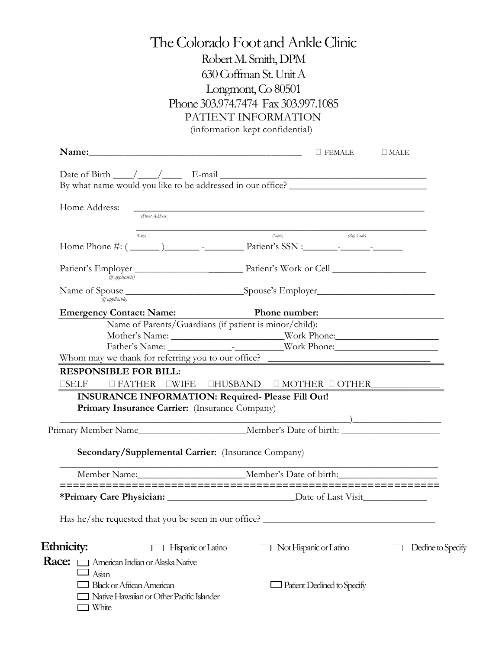## The Colorado Foot and Ankle Clinic Robert M. Smith, DPM 630 Coffman St. Unit A Longmont, Co 80501 Phone 303.974.7474 Fax 303.997.1085 PATIENT INFORMATION (information kept confidential)

|                                                            | Name: Demall FEMALE<br>$\square$ MALE                                                                                |
|------------------------------------------------------------|----------------------------------------------------------------------------------------------------------------------|
|                                                            |                                                                                                                      |
|                                                            | By what name would you like to be addressed in our office? ______________________                                    |
|                                                            |                                                                                                                      |
| Home Address:<br>(Street Address)                          | <u> 1990 - Jan James James James James James James James James James James James James James James James James J</u> |
|                                                            |                                                                                                                      |
| (City)                                                     | (State)<br>(Zip Code)                                                                                                |
|                                                            |                                                                                                                      |
|                                                            |                                                                                                                      |
| (if applicable)                                            |                                                                                                                      |
|                                                            |                                                                                                                      |
| (if applicable)                                            |                                                                                                                      |
|                                                            | Emergency Contact: Name: Phone number: Phone number:                                                                 |
|                                                            | Name of Parents/Guardians (if patient is minor/child):                                                               |
|                                                            | Mother's Name: Work Phone:                                                                                           |
|                                                            | Whom may we thank for referring you to our office?                                                                   |
| <b>RESPONSIBLE FOR BILL:</b>                               |                                                                                                                      |
|                                                            |                                                                                                                      |
|                                                            |                                                                                                                      |
| Primary Insurance Carrier: (Insurance Company)             | <b>INSURANCE INFORMATION: Required- Please Fill Out!</b>                                                             |
|                                                            |                                                                                                                      |
|                                                            |                                                                                                                      |
|                                                            |                                                                                                                      |
| <b>Secondary/Supplemental Carrier:</b> (Insurance Company) |                                                                                                                      |
|                                                            |                                                                                                                      |
|                                                            | Member Name: Member's Date of birth:                                                                                 |
|                                                            |                                                                                                                      |
|                                                            |                                                                                                                      |
|                                                            | Has he/she requested that you be seen in our office?                                                                 |
|                                                            |                                                                                                                      |
| Ethnicity:<br>Hispanic or Latino                           | Not Hispanic or Latino<br>Decline to Specify                                                                         |
| Race: [<br>American Indian or Alaska Native                |                                                                                                                      |
| Asian                                                      |                                                                                                                      |
| <b>Black or African American</b>                           | Patient Declined to Specify                                                                                          |
| Native Hawaiian or Other Pacific Islander                  |                                                                                                                      |
| White                                                      |                                                                                                                      |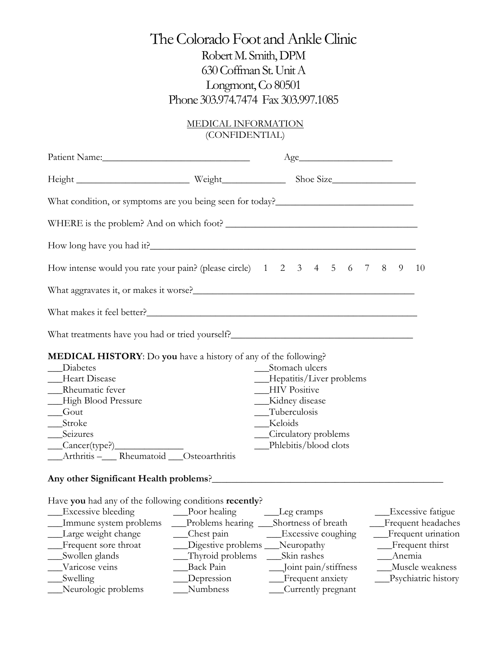### MEDICAL INFORMATION (CONFIDENTIAL)

| Patient Name:                                                                                                                                                                                                                                                                                |                                                                                                                   | Age                                                                                                                                                                        |        |                                                                                                                                   |  |  |
|----------------------------------------------------------------------------------------------------------------------------------------------------------------------------------------------------------------------------------------------------------------------------------------------|-------------------------------------------------------------------------------------------------------------------|----------------------------------------------------------------------------------------------------------------------------------------------------------------------------|--------|-----------------------------------------------------------------------------------------------------------------------------------|--|--|
|                                                                                                                                                                                                                                                                                              |                                                                                                                   |                                                                                                                                                                            |        |                                                                                                                                   |  |  |
|                                                                                                                                                                                                                                                                                              |                                                                                                                   |                                                                                                                                                                            |        |                                                                                                                                   |  |  |
|                                                                                                                                                                                                                                                                                              |                                                                                                                   |                                                                                                                                                                            |        |                                                                                                                                   |  |  |
|                                                                                                                                                                                                                                                                                              |                                                                                                                   |                                                                                                                                                                            |        |                                                                                                                                   |  |  |
| How intense would you rate your pain? (please circle) 1 2 3 4 5 6 7 8 9<br>10                                                                                                                                                                                                                |                                                                                                                   |                                                                                                                                                                            |        |                                                                                                                                   |  |  |
|                                                                                                                                                                                                                                                                                              |                                                                                                                   |                                                                                                                                                                            |        |                                                                                                                                   |  |  |
| What makes it feel better?                                                                                                                                                                                                                                                                   |                                                                                                                   |                                                                                                                                                                            |        |                                                                                                                                   |  |  |
| What treatments have you had or tried yourself?__________________________________                                                                                                                                                                                                            |                                                                                                                   |                                                                                                                                                                            |        |                                                                                                                                   |  |  |
| <b>MEDICAL HISTORY:</b> Do you have a history of any of the following?<br>Diabetes<br>__Heart Disease<br>__Rheumatic fever<br>-High Blood Pressure<br>Gout<br>__Stroke<br>__Seizures<br>$\frac{\text{Cancer(type?)}}{\text{Cancer(type.)}}$<br>__Arthritis -____Rheumatoid ___Osteoarthritis |                                                                                                                   | Stomach ulcers<br>__Hepatitis/Liver problems<br><b>HIV</b> Positive<br>__Kidney disease<br>__Tuberculosis<br>__Keloids<br>__Circulatory problems<br>_Phlebitis/blood clots |        |                                                                                                                                   |  |  |
|                                                                                                                                                                                                                                                                                              |                                                                                                                   |                                                                                                                                                                            |        |                                                                                                                                   |  |  |
| Have you had any of the following conditions recently?<br>Immune system problems<br>Large weight change<br>Frequent sore throat<br>Swollen glands<br>Varicose veins<br>Swelling<br>Neurologic problems                                                                                       | Problems hearing<br>Chest pain<br>Digestive problems _<br>Thyroid problems<br>Back Pain<br>Depression<br>Numbness | Leg cramps<br>Shortness of breath<br>Excessive coughing<br>Neuropathy<br>Skin rashes<br>Joint pain/stiffness<br>Frequent anxiety<br>Currently pregnant                     | Anemia | <b>Excessive fatigue</b><br>Frequent headaches<br>Frequent urination<br>Frequent thirst<br>Muscle weakness<br>Psychiatric history |  |  |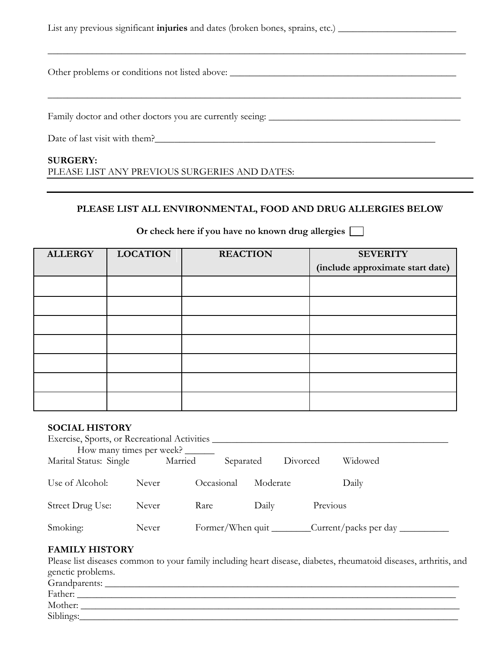| List any previous significant <b>injuries</b> and dates (broken bones, sprains, etc.) |
|---------------------------------------------------------------------------------------|
| Other problems or conditions not listed above:                                        |
|                                                                                       |
| Date of last visit with them?<br><b>SURGERY:</b>                                      |

PLEASE LIST ANY PREVIOUS SURGERIES AND DATES:

### **PLEASE LIST ALL ENVIRONMENTAL, FOOD AND DRUG ALLERGIES BELOW**

| <b>ALLERGY</b> | <b>LOCATION</b> | <b>REACTION</b> | <b>SEVERITY</b>                  |
|----------------|-----------------|-----------------|----------------------------------|
|                |                 |                 | (include approximate start date) |
|                |                 |                 |                                  |
|                |                 |                 |                                  |
|                |                 |                 |                                  |
|                |                 |                 |                                  |
|                |                 |                 |                                  |
|                |                 |                 |                                  |
|                |                 |                 |                                  |
|                |                 |                 |                                  |
|                |                 |                 |                                  |
|                |                 |                 |                                  |
|                |                 |                 |                                  |
|                |                 |                 |                                  |
|                |                 |                 |                                  |
|                |                 |                 |                                  |
|                |                 |                 |                                  |

# **Or check here if you have no known drug allergies**

#### **SOCIAL HISTORY**

| Exercise, Sports, or Recreational Activities |         |                  |           |          |          |          |         |
|----------------------------------------------|---------|------------------|-----------|----------|----------|----------|---------|
| How many times per week?                     |         |                  |           |          |          |          |         |
| Marital Status: Single                       | Married |                  | Separated |          | Divorced |          | Widowed |
|                                              |         |                  |           |          |          |          |         |
| Use of Alcohol:                              | Never   | Occasional       |           | Moderate |          |          | Daily   |
|                                              |         |                  |           |          |          |          |         |
| Street Drug Use:                             | Never   | Rare             |           | Daily    |          | Previous |         |
|                                              |         |                  |           |          |          |          |         |
| Smoking:                                     | Never   | Former/When quit |           |          |          |          |         |

#### **FAMILY HISTORY**

Please list diseases common to your family including heart disease, diabetes, rheumatoid diseases, arthritis, and genetic problems.

| $\sim$<br>____<br>Grandparents: |  |
|---------------------------------|--|
| Father:                         |  |
| Mother:                         |  |
| Siblings:                       |  |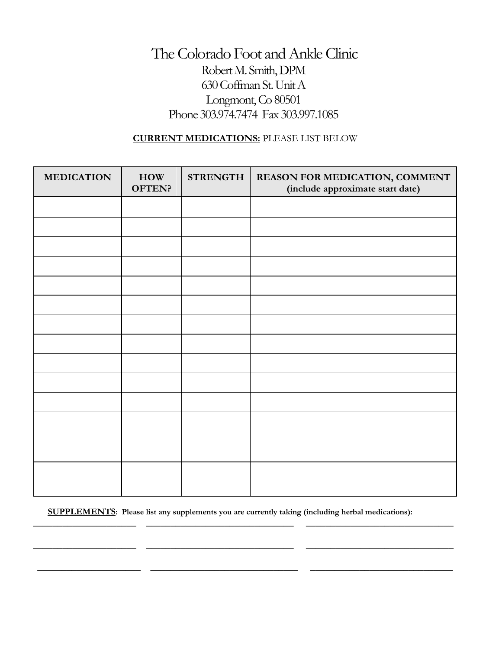### **CURRENT MEDICATIONS:** PLEASE LIST BELOW

| <b>MEDICATION</b> | HOW<br>OFTEN? | <b>STRENGTH</b> | REASON FOR MEDICATION, COMMENT<br>(include approximate start date) |
|-------------------|---------------|-----------------|--------------------------------------------------------------------|
|                   |               |                 |                                                                    |
|                   |               |                 |                                                                    |
|                   |               |                 |                                                                    |
|                   |               |                 |                                                                    |
|                   |               |                 |                                                                    |
|                   |               |                 |                                                                    |
|                   |               |                 |                                                                    |
|                   |               |                 |                                                                    |
|                   |               |                 |                                                                    |
|                   |               |                 |                                                                    |
|                   |               |                 |                                                                    |
|                   |               |                 |                                                                    |
|                   |               |                 |                                                                    |
|                   |               |                 |                                                                    |

 **SUPPLEMENTS: Please list any supplements you are currently taking (including herbal medications):** 

 $\overline{\phantom{a}}$  , and the set of the set of the set of the set of the set of the set of the set of the set of the set of the set of the set of the set of the set of the set of the set of the set of the set of the set of the s

 $\overline{\phantom{a}}$  , and the contribution of the contribution of the contribution of the contribution of the contribution of the contribution of the contribution of the contribution of the contribution of the contribution of the

\_\_\_\_\_\_\_\_\_\_\_\_\_\_\_\_\_\_\_\_\_ \_\_\_\_\_\_\_\_\_\_\_\_\_\_\_\_\_\_\_\_\_\_\_\_\_\_\_\_\_\_ \_\_\_\_\_\_\_\_\_\_\_\_\_\_\_\_\_\_\_\_\_\_\_\_\_\_\_\_\_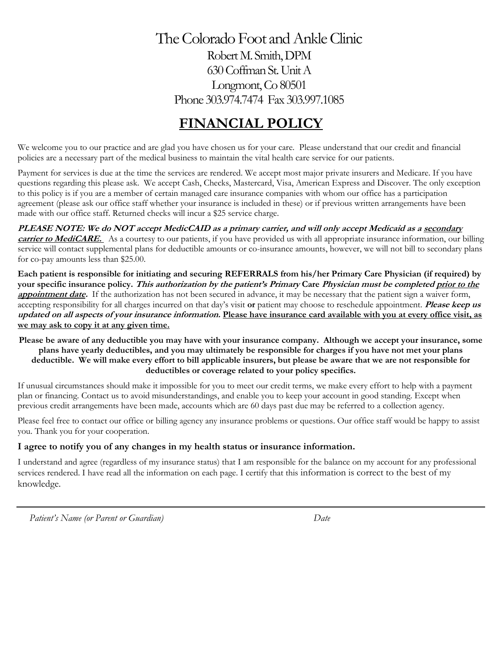# **FINANCIAL POLICY**

We welcome you to our practice and are glad you have chosen us for your care. Please understand that our credit and financial policies are a necessary part of the medical business to maintain the vital health care service for our patients.

Payment for services is due at the time the services are rendered. We accept most major private insurers and Medicare. If you have questions regarding this please ask. We accept Cash, Checks, Mastercard, Visa, American Express and Discover. The only exception to this policy is if you are a member of certain managed care insurance companies with whom our office has a participation agreement (please ask our office staff whether your insurance is included in these) or if previous written arrangements have been made with our office staff. Returned checks will incur a \$25 service charge.

**PLEASE NOTE: We do NOT accept MedicCAID as a primary carrier, and will only accept Medicaid as a secondary**  carrier to MediCARE. As a courtesy to our patients, if you have provided us with all appropriate insurance information, our billing service will contact supplemental plans for deductible amounts or co-insurance amounts, however, we will not bill to secondary plans for co-pay amounts less than \$25.00.

**Each patient is responsible for initiating and securing REFERRALS from his/her Primary Care Physician (if required) by your specific insurance policy. This authorization by the patient's Primary Care Physician must be completed prior to the appointment date.** If the authorization has not been secured in advance, it may be necessary that the patient sign a waiver form, accepting responsibility for all charges incurred on that day's visit **or** patient may choose to reschedule appointment. **Please keep us updated on all aspects of your insurance information. Please have insurance card available with you at every office visit, as we may ask to copy it at any given time.**

**Please be aware of any deductible you may have with your insurance company. Although we accept your insurance, some plans have yearly deductibles, and you may ultimately be responsible for charges if you have not met your plans deductible. We will make every effort to bill applicable insurers, but please be aware that we are not responsible for deductibles or coverage related to your policy specifics.**

If unusual circumstances should make it impossible for you to meet our credit terms, we make every effort to help with a payment plan or financing. Contact us to avoid misunderstandings, and enable you to keep your account in good standing. Except when previous credit arrangements have been made, accounts which are 60 days past due may be referred to a collection agency.

Please feel free to contact our office or billing agency any insurance problems or questions. Our office staff would be happy to assist you. Thank you for your cooperation.

### **I agree to notify you of any changes in my health status or insurance information.**

I understand and agree (regardless of my insurance status) that I am responsible for the balance on my account for any professional services rendered. I have read all the information on each page. I certify that this information is correct to the best of my knowledge.

*Patient's Name (or Parent or Guardian) Date*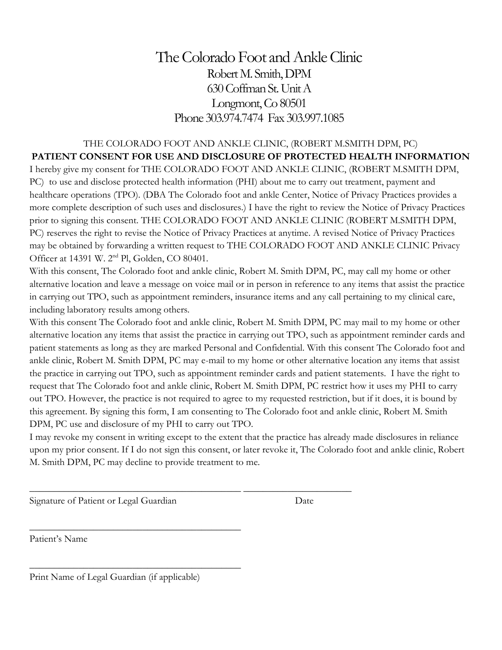### THE COLORADO FOOT AND ANKLE CLINIC, (ROBERT M.SMITH DPM, PC) **PATIENT CONSENT FOR USE AND DISCLOSURE OF PROTECTED HEALTH INFORMATION** I hereby give my consent for THE COLORADO FOOT AND ANKLE CLINIC, (ROBERT M.SMITH DPM, PC) to use and disclose protected health information (PHI) about me to carry out treatment, payment and healthcare operations (TPO). (DBA The Colorado foot and ankle Center, Notice of Privacy Practices provides a more complete description of such uses and disclosures.) I have the right to review the Notice of Privacy Practices prior to signing this consent. THE COLORADO FOOT AND ANKLE CLINIC (ROBERT M.SMITH DPM, PC) reserves the right to revise the Notice of Privacy Practices at anytime. A revised Notice of Privacy Practices may be obtained by forwarding a written request to THE COLORADO FOOT AND ANKLE CLINIC Privacy Officer at 14391 W. 2nd Pl, Golden, CO 80401.

With this consent, The Colorado foot and ankle clinic, Robert M. Smith DPM, PC, may call my home or other alternative location and leave a message on voice mail or in person in reference to any items that assist the practice in carrying out TPO, such as appointment reminders, insurance items and any call pertaining to my clinical care, including laboratory results among others.

With this consent The Colorado foot and ankle clinic, Robert M. Smith DPM, PC may mail to my home or other alternative location any items that assist the practice in carrying out TPO, such as appointment reminder cards and patient statements as long as they are marked Personal and Confidential. With this consent The Colorado foot and ankle clinic, Robert M. Smith DPM, PC may e-mail to my home or other alternative location any items that assist the practice in carrying out TPO, such as appointment reminder cards and patient statements. I have the right to request that The Colorado foot and ankle clinic, Robert M. Smith DPM, PC restrict how it uses my PHI to carry out TPO. However, the practice is not required to agree to my requested restriction, but if it does, it is bound by this agreement. By signing this form, I am consenting to The Colorado foot and ankle clinic, Robert M. Smith DPM, PC use and disclosure of my PHI to carry out TPO.

I may revoke my consent in writing except to the extent that the practice has already made disclosures in reliance upon my prior consent. If I do not sign this consent, or later revoke it, The Colorado foot and ankle clinic, Robert M. Smith DPM, PC may decline to provide treatment to me.

\_\_\_\_\_\_\_\_\_\_\_\_\_\_\_\_\_\_\_\_\_\_\_\_\_\_\_\_\_\_\_\_\_\_\_\_\_\_\_\_\_\_\_ \_\_\_\_\_\_\_\_\_\_\_\_\_\_\_\_\_\_\_\_\_\_

Signature of Patient or Legal Guardian Date

Patient's Name

Print Name of Legal Guardian (if applicable)

\_\_\_\_\_\_\_\_\_\_\_\_\_\_\_\_\_\_\_\_\_\_\_\_\_\_\_\_\_\_\_\_\_\_\_\_\_\_\_\_\_\_\_

\_\_\_\_\_\_\_\_\_\_\_\_\_\_\_\_\_\_\_\_\_\_\_\_\_\_\_\_\_\_\_\_\_\_\_\_\_\_\_\_\_\_\_